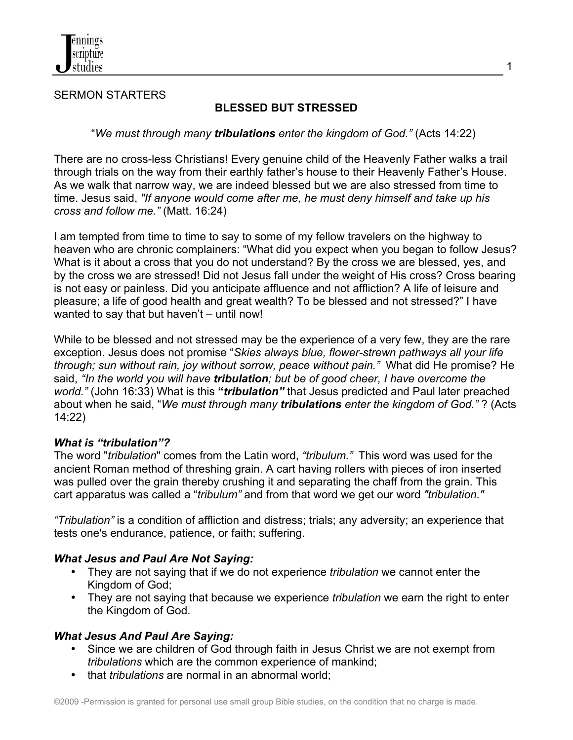

### SERMON STARTERS

## **BLESSED BUT STRESSED**

1

### "*We must through many tribulations enter the kingdom of God."* (Acts 14:22)

There are no cross-less Christians! Every genuine child of the Heavenly Father walks a trail through trials on the way from their earthly father's house to their Heavenly Father's House. As we walk that narrow way, we are indeed blessed but we are also stressed from time to time. Jesus said, *"If anyone would come after me, he must deny himself and take up his cross and follow me."* (Matt. 16:24)

I am tempted from time to time to say to some of my fellow travelers on the highway to heaven who are chronic complainers: "What did you expect when you began to follow Jesus? What is it about a cross that you do not understand? By the cross we are blessed, yes, and by the cross we are stressed! Did not Jesus fall under the weight of His cross? Cross bearing is not easy or painless. Did you anticipate affluence and not affliction? A life of leisure and pleasure; a life of good health and great wealth? To be blessed and not stressed?" I have wanted to say that but haven't – until now!

While to be blessed and not stressed may be the experience of a very few, they are the rare exception. Jesus does not promise "*Skies always blue, flower-strewn pathways all your life through; sun without rain, joy without sorrow, peace without pain."* What did He promise? He said, *"In the world you will have tribulation; but be of good cheer, I have overcome the world."* (John 16:33) What is this **"***tribulation"* that Jesus predicted and Paul later preached about when he said, "*We must through many tribulations enter the kingdom of God."* ? (Acts 14:22)

#### *What is "tribulation"?*

The word "*tribulation*" comes from the Latin word, *"tribulum."* This word was used for the ancient Roman method of threshing grain. A cart having rollers with pieces of iron inserted was pulled over the grain thereby crushing it and separating the chaff from the grain. This cart apparatus was called a "*tribulum"* and from that word we get our word *"tribulation."*

*"Tribulation"* is a condition of affliction and distress; trials; any adversity; an experience that tests one's endurance, patience, or faith; suffering.

### *What Jesus and Paul Are Not Saying:*

- They are not saying that if we do not experience *tribulation* we cannot enter the Kingdom of God;
- They are not saying that because we experience *tribulation* we earn the right to enter the Kingdom of God.

### *What Jesus And Paul Are Saying:*

- Since we are children of God through faith in Jesus Christ we are not exempt from *tribulations* which are the common experience of mankind;
- that *tribulations* are normal in an abnormal world;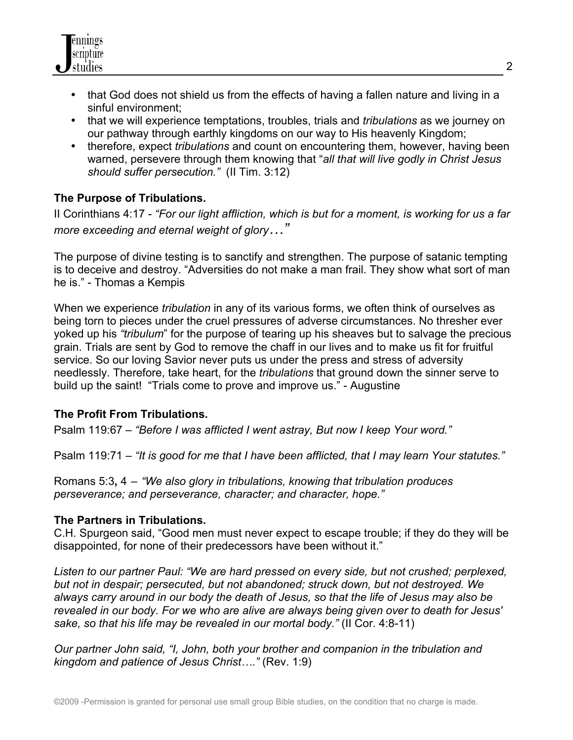

- that God does not shield us from the effects of having a fallen nature and living in a sinful environment;
- that we will experience temptations, troubles, trials and *tribulations* as we journey on our pathway through earthly kingdoms on our way to His heavenly Kingdom;
- therefore, expect *tribulations* and count on encountering them, however, having been warned, persevere through them knowing that "*all that will live godly in Christ Jesus should suffer persecution."* (II Tim. 3:12)

# **The Purpose of Tribulations.**

II Corinthians 4:17 - *"For our light affliction, which is but for a moment, is working for us a far more exceeding and eternal weight of glory…"*

The purpose of divine testing is to sanctify and strengthen. The purpose of satanic tempting is to deceive and destroy. "Adversities do not make a man frail. They show what sort of man he is." - Thomas a Kempis

When we experience *tribulation* in any of its various forms, we often think of ourselves as being torn to pieces under the cruel pressures of adverse circumstances. No thresher ever yoked up his *"tribulum*" for the purpose of tearing up his sheaves but to salvage the precious grain. Trials are sent by God to remove the chaff in our lives and to make us fit for fruitful service. So our loving Savior never puts us under the press and stress of adversity needlessly. Therefore, take heart, for the *tribulations* that ground down the sinner serve to build up the saint! "Trials come to prove and improve us." - Augustine

### **The Profit From Tribulations.**

Psalm 119:67 – *"Before I was afflicted I went astray, But now I keep Your word."*

Psalm 119:71 – *"It is good for me that I have been afflicted, that I may learn Your statutes."*

Romans 5:3**,** 4 – *"We also glory in tribulations, knowing that tribulation produces perseverance; and perseverance, character; and character, hope."*

### **The Partners in Tribulations.**

C.H. Spurgeon said, "Good men must never expect to escape trouble; if they do they will be disappointed, for none of their predecessors have been without it."

*Listen to our partner Paul: "We are hard pressed on every side, but not crushed; perplexed, but not in despair; persecuted, but not abandoned; struck down, but not destroyed. We always carry around in our body the death of Jesus, so that the life of Jesus may also be revealed in our body. For we who are alive are always being given over to death for Jesus' sake, so that his life may be revealed in our mortal body."* (II Cor. 4:8-11)

*Our partner John said, "I, John, both your brother and companion in the tribulation and kingdom and patience of Jesus Christ…."* (Rev. 1:9)